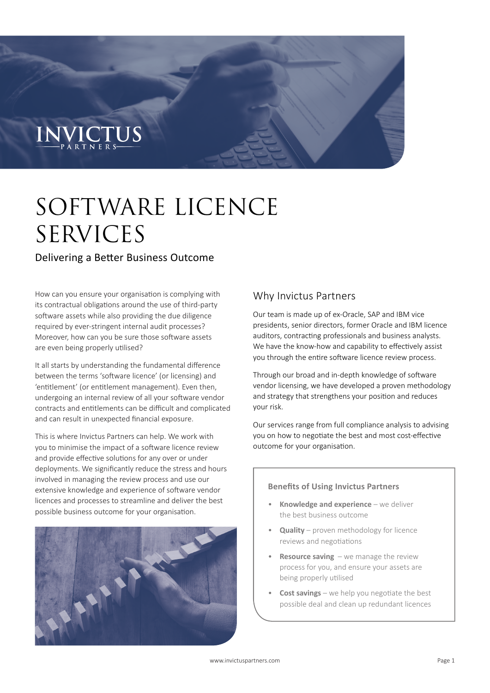# INVICTUS

## SOFTWARE LICENCE SERVICES

#### Delivering a Better Business Outcome

How can you ensure your organisation is complying with its contractual obligations around the use of third-party software assets while also providing the due diligence required by ever-stringent internal audit processes? Moreover, how can you be sure those software assets are even being properly utilised?

It all starts by understanding the fundamental difference between the terms 'software licence' (or licensing) and 'entitlement' (or entitlement management). Even then, undergoing an internal review of all your software vendor contracts and entitlements can be difficult and complicated and can result in unexpected financial exposure.

This is where Invictus Partners can help. We work with you to minimise the impact of a software licence review and provide effective solutions for any over or under deployments. We significantly reduce the stress and hours involved in managing the review process and use our extensive knowledge and experience of software vendor licences and processes to streamline and deliver the best possible business outcome for your organisation.



#### Why Invictus Partners

Our team is made up of ex-Oracle, SAP and IBM vice presidents, senior directors, former Oracle and IBM licence auditors, contracting professionals and business analysts. We have the know-how and capability to effectively assist you through the entire software licence review process.

Through our broad and in-depth knowledge of software vendor licensing, we have developed a proven methodology and strategy that strengthens your position and reduces your risk.

Our services range from full compliance analysis to advising you on how to negotiate the best and most cost-effective outcome for your organisation.

#### **Benefits of Using Invictus Partners**

- **Knowledge and experience** we deliver the best business outcome
- **Quality** proven methodology for licence reviews and negotiations
- **Resource saving**  we manage the review process for you, and ensure your assets are being properly utilised
- **Cost savings** we help you negotiate the best possible deal and clean up redundant licences